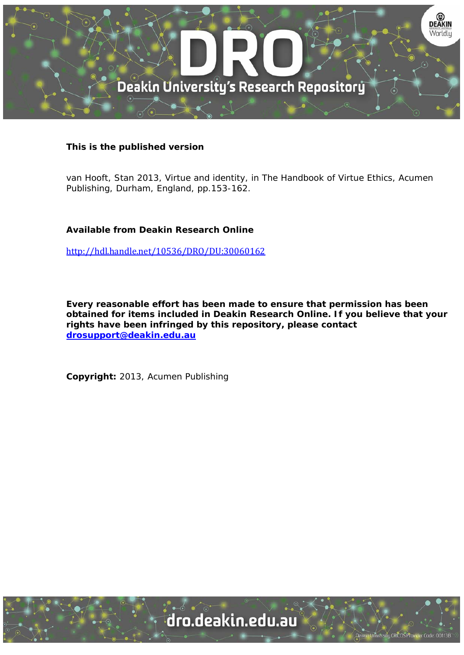

### **This is the published version**

van Hooft, Stan 2013, Virtue and identity, in The Handbook of Virtue Ethics, Acumen Publishing, Durham, England, pp.153-162.

### **Available from Deakin Research Online**

http://hdl.handle.net/10536/DRO/DU:30060162

**Every reasonable effort has been made to ensure that permission has been obtained for items included in Deakin Research Online. If you believe that your rights have been infringed by this repository, please contact drosupport@deakin.edu.au** 

**Copyright:** 2013, Acumen Publishing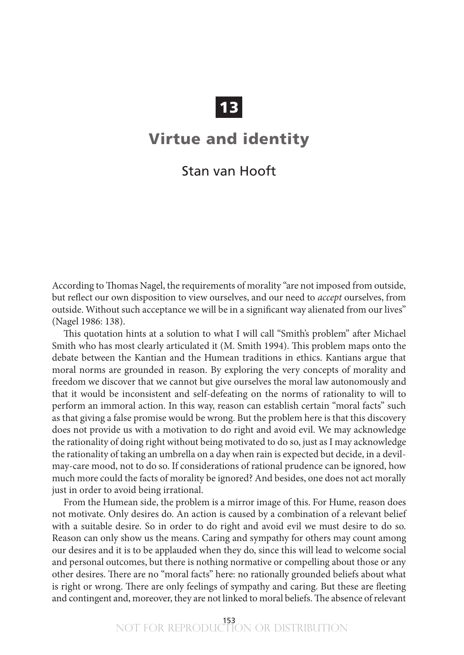# **13**

## **Virtue and identity**

### Stan van Hooft

According to Thomas Nagel, the requirements of morality "are not imposed from outside, but reflect our own disposition to view ourselves, and our need to *accept* ourselves, from outside. Without such acceptance we will be in a significant way alienated from our lives" (Nagel 1986: 138).

This quotation hints at a solution to what I will call "Smith's problem" after Michael Smith who has most clearly articulated it (M. Smith 1994). This problem maps onto the debate between the Kantian and the Humean traditions in ethics. Kantians argue that moral norms are grounded in reason. By exploring the very concepts of morality and freedom we discover that we cannot but give ourselves the moral law autonomously and that it would be inconsistent and self- defeating on the norms of rationality to will to perform an immoral action. In this way, reason can establish certain "moral facts" such as that giving a false promise would be wrong. But the problem here is that this discovery does not provide us with a motivation to do right and avoid evil. We may acknowledge the rationality of doing right without being motivated to do so, just as I may acknowledge the rationality of taking an umbrella on a day when rain is expected but decide, in a devilmay- care mood, not to do so. If considerations of rational prudence can be ignored, how much more could the facts of morality be ignored? And besides, one does not act morally just in order to avoid being irrational.

From the Humean side, the problem is a mirror image of this. For Hume, reason does not motivate. Only desires do. An action is caused by a combination of a relevant belief with a suitable desire. So in order to do right and avoid evil we must desire to do so. Reason can only show us the means. Caring and sympathy for others may count among our desires and it is to be applauded when they do, since this will lead to welcome social and personal outcomes, but there is nothing normative or compelling about those or any other desires. There are no "moral facts" here: no rationally grounded beliefs about what is right or wrong. There are only feelings of sympathy and caring. But these are fleeting and contingent and, moreover, they are not linked to moral beliefs. The absence of relevant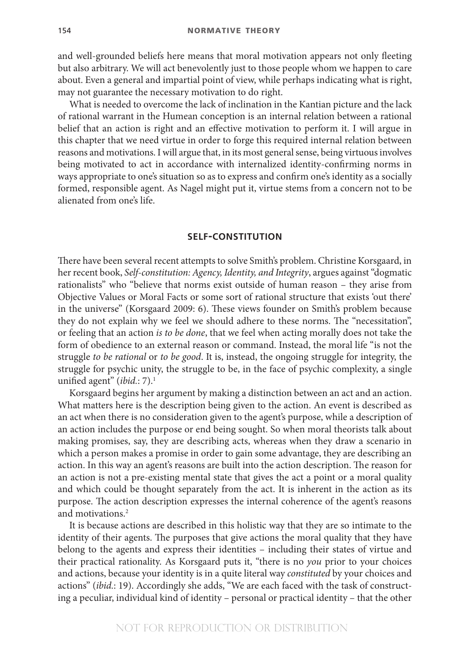and well-grounded beliefs here means that moral motivation appears not only fleeting but also arbitrary. We will act benevolently just to those people whom we happen to care about. Even a general and impartial point of view, while perhaps indicating what is right, may not guarantee the necessary motivation to do right.

What is needed to overcome the lack of inclination in the Kantian picture and the lack of rational warrant in the Humean conception is an internal relation between a rational belief that an action is right and an effective motivation to perform it. I will argue in this chapter that we need virtue in order to forge this required internal relation between reasons and motivations. I will argue that, in its most general sense, being virtuous involves being motivated to act in accordance with internalized identity-confirming norms in ways appropriate to one's situation so as to express and confirm one's identity as a socially formed, responsible agent. As Nagel might put it, virtue stems from a concern not to be alienated from one's life.

#### **SELF- CONSTITUTION**

There have been several recent attempts to solve Smith's problem. Christine Korsgaard, in her recent book, *Self- constitution: Agency, Identity, and Integrity*, argues against "dogmatic rationalists" who "believe that norms exist outside of human reason – they arise from Objective Values or Moral Facts or some sort of rational structure that exists 'out there' in the universe" (Korsgaard 2009: 6). These views founder on Smith's problem because they do not explain why we feel we should adhere to these norms. The "necessitation", or feeling that an action *is to be done*, that we feel when acting morally does not take the form of obedience to an external reason or command. Instead, the moral life "is not the struggle *to be rational* or *to be good*. It is, instead, the ongoing struggle for integrity, the struggle for psychic unity, the struggle to be, in the face of psychic complexity, a single unified agent"  $(ibid.: 7).<sup>1</sup>$ 

Korsgaard begins her argument by making a distinction between an act and an action. What matters here is the description being given to the action. An event is described as an act when there is no consideration given to the agent's purpose, while a description of an action includes the purpose or end being sought. So when moral theorists talk about making promises, say, they are describing acts, whereas when they draw a scenario in which a person makes a promise in order to gain some advantage, they are describing an action. In this way an agent's reasons are built into the action description. The reason for an action is not a pre- existing mental state that gives the act a point or a moral quality and which could be thought separately from the act. It is inherent in the action as its purpose. The action description expresses the internal coherence of the agent's reasons and motivations.<sup>2</sup>

It is because actions are described in this holistic way that they are so intimate to the identity of their agents. The purposes that give actions the moral quality that they have belong to the agents and express their identities – including their states of virtue and their practical rationality. As Korsgaard puts it, "there is no *you* prior to your choices and actions, because your identity is in a quite literal way *constituted* by your choices and actions" (*ibid.*: 19). Accordingly she adds, "We are each faced with the task of constructing a peculiar, individual kind of identity – personal or practical identity – that the other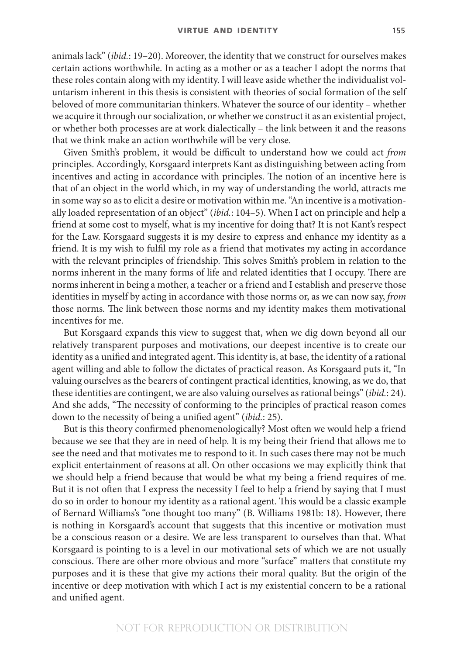animals lack" (*ibid.*: 19–20). Moreover, the identity that we construct for ourselves makes certain actions worthwhile. In acting as a mother or as a teacher I adopt the norms that these roles contain along with my identity. I will leave aside whether the individualist voluntarism inherent in this thesis is consistent with theories of social formation of the self beloved of more communitarian thinkers. Whatever the source of our identity – whether we acquire it through our socialization, or whether we construct it as an existential project, or whether both processes are at work dialectically – the link between it and the reasons that we think make an action worthwhile will be very close.

Given Smith's problem, it would be difficult to understand how we could act *from* principles. Accordingly, Korsgaard interprets Kant as distinguishing between acting from incentives and acting in accordance with principles. The notion of an incentive here is that of an object in the world which, in my way of understanding the world, attracts me in some way so as to elicit a desire or motivation within me. "An incentive is a motivationally loaded representation of an object" (*ibid.*: 104–5). When I act on principle and help a friend at some cost to myself, what is my incentive for doing that? It is not Kant's respect for the Law. Korsgaard suggests it is my desire to express and enhance my identity as a friend. It is my wish to fulfil my role as a friend that motivates my acting in accordance with the relevant principles of friendship. This solves Smith's problem in relation to the norms inherent in the many forms of life and related identities that I occupy. There are norms inherent in being a mother, a teacher or a friend and I establish and preserve those identities in myself by acting in accordance with those norms or, as we can now say, *from*  those norms. The link between those norms and my identity makes them motivational incentives for me.

But Korsgaard expands this view to suggest that, when we dig down beyond all our relatively transparent purposes and motivations, our deepest incentive is to create our identity as a unified and integrated agent. This identity is, at base, the identity of a rational agent willing and able to follow the dictates of practical reason. As Korsgaard puts it, "In valuing ourselves as the bearers of contingent practical identities, knowing, as we do, that these identities are contingent, we are also valuing ourselves as rational beings" (*ibid.*: 24). And she adds, "The necessity of conforming to the principles of practical reason comes down to the necessity of being a unified agent" *(ibid.*: 25).

But is this theory confirmed phenomenologically? Most often we would help a friend because we see that they are in need of help. It is my being their friend that allows me to see the need and that motivates me to respond to it. In such cases there may not be much explicit entertainment of reasons at all. On other occasions we may explicitly think that we should help a friend because that would be what my being a friend requires of me. But it is not often that I express the necessity I feel to help a friend by saying that I must do so in order to honour my identity as a rational agent. This would be a classic example of Bernard Williams's "one thought too many" (B. Williams 1981b: 18). However, there is nothing in Korsgaard's account that suggests that this incentive or motivation must be a conscious reason or a desire. We are less transparent to ourselves than that. What Korsgaard is pointing to is a level in our motivational sets of which we are not usually conscious. There are other more obvious and more "surface" matters that constitute my purposes and it is these that give my actions their moral quality. But the origin of the incentive or deep motivation with which I act is my existential concern to be a rational and unified agent.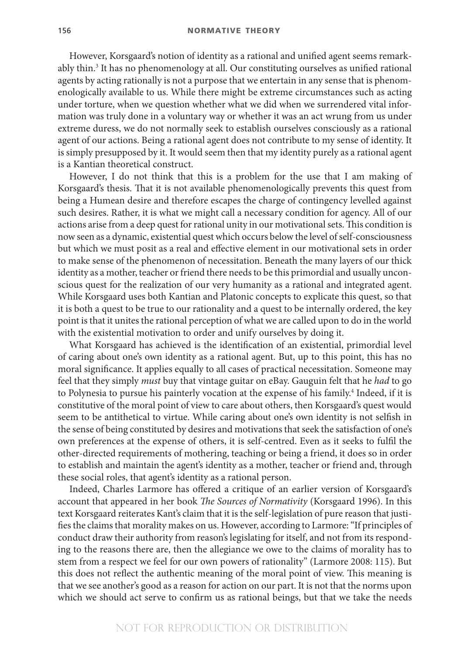However, Korsgaard's notion of identity as a rational and unified agent seems remarkably thin.<sup>3</sup> It has no phenomenology at all. Our constituting ourselves as unified rational agents by acting rationally is not a purpose that we entertain in any sense that is phenomenologically available to us. While there might be extreme circumstances such as acting under torture, when we question whether what we did when we surrendered vital information was truly done in a voluntary way or whether it was an act wrung from us under extreme duress, we do not normally seek to establish ourselves consciously as a rational agent of our actions. Being a rational agent does not contribute to my sense of identity. It is simply presupposed by it. It would seem then that my identity purely as a rational agent is a Kantian theoretical construct.

However, I do not think that this is a problem for the use that I am making of Korsgaard's thesis. That it is not available phenomenologically prevents this quest from being a Humean desire and therefore escapes the charge of contingency levelled against such desires. Rather, it is what we might call a necessary condition for agency. All of our actions arise from a deep quest for rational unity in our motivational sets. This condition is now seen as a dynamic, existential quest which occurs below the level of self- consciousness but which we must posit as a real and effective element in our motivational sets in order to make sense of the phenomenon of necessitation. Beneath the many layers of our thick identity as a mother, teacher or friend there needs to be this primordial and usually unconscious quest for the realization of our very humanity as a rational and integrated agent. While Korsgaard uses both Kantian and Platonic concepts to explicate this quest, so that it is both a quest to be true to our rationality and a quest to be internally ordered, the key point is that it unites the rational perception of what we are called upon to do in the world with the existential motivation to order and unify ourselves by doing it.

What Korsgaard has achieved is the identification of an existential, primordial level of caring about one's own identity as a rational agent. But, up to this point, this has no moral significance. It applies equally to all cases of practical necessitation. Someone may feel that they simply *must* buy that vintage guitar on eBay. Gauguin felt that he *had* to go to Polynesia to pursue his painterly vocation at the expense of his family.<sup>4</sup> Indeed, if it is constitutive of the moral point of view to care about others, then Korsgaard's quest would seem to be antithetical to virtue. While caring about one's own identity is not selfish in the sense of being constituted by desires and motivations that seek the satisfaction of one's own preferences at the expense of others, it is self- centred. Even as it seeks to fulfi l the other- directed requirements of mothering, teaching or being a friend, it does so in order to establish and maintain the agent's identity as a mother, teacher or friend and, through these social roles, that agent's identity as a rational person.

Indeed, Charles Larmore has offered a critique of an earlier version of Korsgaard's account that appeared in her book *The Sources of Normativity* (Korsgaard 1996). In this text Korsgaard reiterates Kant's claim that it is the self- legislation of pure reason that justifies the claims that morality makes on us. However, according to Larmore: "If principles of conduct draw their authority from reason's legislating for itself, and not from its responding to the reasons there are, then the allegiance we owe to the claims of morality has to stem from a respect we feel for our own powers of rationality" (Larmore 2008: 115). But this does not reflect the authentic meaning of the moral point of view. This meaning is that we see another's good as a reason for action on our part. It is not that the norms upon which we should act serve to confirm us as rational beings, but that we take the needs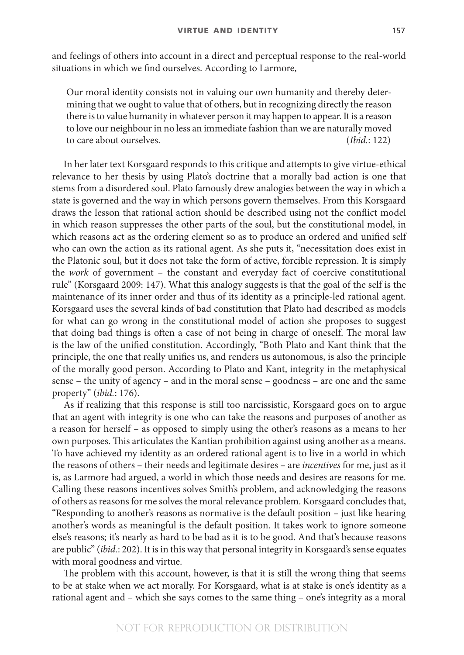and feelings of others into account in a direct and perceptual response to the real- world situations in which we find ourselves. According to Larmore,

Our moral identity consists not in valuing our own humanity and thereby determining that we ought to value that of others, but in recognizing directly the reason there is to value humanity in whatever person it may happen to appear. It is a reason to love our neighbour in no less an immediate fashion than we are naturally moved to care about ourselves. (*Ibid.*: 122)

In her later text Korsgaard responds to this critique and attempts to give virtue- ethical relevance to her thesis by using Plato's doctrine that a morally bad action is one that stems from a disordered soul. Plato famously drew analogies between the way in which a state is governed and the way in which persons govern themselves. From this Korsgaard draws the lesson that rational action should be described using not the conflict model in which reason suppresses the other parts of the soul, but the constitutional model, in which reasons act as the ordering element so as to produce an ordered and unified self who can own the action as its rational agent. As she puts it, "necessitation does exist in the Platonic soul, but it does not take the form of active, forcible repression. It is simply the *work* of government – the constant and everyday fact of coercive constitutional rule" (Korsgaard 2009: 147). What this analogy suggests is that the goal of the self is the maintenance of its inner order and thus of its identity as a principle- led rational agent. Korsgaard uses the several kinds of bad constitution that Plato had described as models for what can go wrong in the constitutional model of action she proposes to suggest that doing bad things is often a case of not being in charge of oneself. The moral law is the law of the unified constitution. Accordingly, "Both Plato and Kant think that the principle, the one that really unifies us, and renders us autonomous, is also the principle of the morally good person. According to Plato and Kant, integrity in the metaphysical sense – the unity of agency – and in the moral sense – goodness – are one and the same property" (*ibid.*: 176).

As if realizing that this response is still too narcissistic, Korsgaard goes on to argue that an agent with integrity is one who can take the reasons and purposes of another as a reason for herself – as opposed to simply using the other's reasons as a means to her own purposes. This articulates the Kantian prohibition against using another as a means. To have achieved my identity as an ordered rational agent is to live in a world in which the reasons of others – their needs and legitimate desires – are *incentives* for me, just as it is, as Larmore had argued, a world in which those needs and desires are reasons for me. Calling these reasons incentives solves Smith's problem, and acknowledging the reasons of others as reasons for me solves the moral relevance problem. Korsgaard concludes that, "Responding to another's reasons as normative is the default position – just like hearing another's words as meaningful is the default position. It takes work to ignore someone else's reasons; it's nearly as hard to be bad as it is to be good. And that's because reasons are public" (*ibid.*: 202). It is in this way that personal integrity in Korsgaard's sense equates with moral goodness and virtue.

The problem with this account, however, is that it is still the wrong thing that seems to be at stake when we act morally. For Korsgaard, what is at stake is one's identity as a rational agent and – which she says comes to the same thing – one's integrity as a moral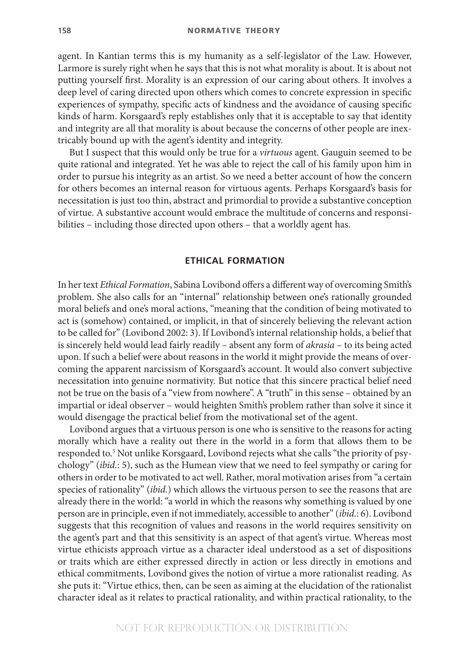agent. In Kantian terms this is my humanity as a self-legislator of the Law. However, Larmore is surely right when he says that this is not what morality is about. It is about not putting yourself first. Morality is an expression of our caring about others. It involves a deep level of caring directed upon others which comes to concrete expression in specific experiences of sympathy, specific acts of kindness and the avoidance of causing specific kinds of harm. Korsgaard's reply establishes only that it is acceptable to say that identity and integrity are all that morality is about because the concerns of other people are inextricably bound up with the agent's identity and integrity.

But I suspect that this would only be true for a *virtuous* agent. Gauguin seemed to be quite rational and integrated. Yet he was able to reject the call of his family upon him in order to pursue his integrity as an artist. So we need a better account of how the concern for others becomes an internal reason for virtuous agents. Perhaps Korsgaard's basis for necessitation is just too thin, abstract and primordial to provide a substantive conception of virtue. A substantive account would embrace the multitude of concerns and responsibilities – including those directed upon others – that a worldly agent has.

### **ETHICAL FORMATION**

In her text *Ethical Formation*, Sabina Lovibond offers a different way of overcoming Smith's problem. She also calls for an "internal" relationship between one's rationally grounded moral beliefs and one's moral actions, "meaning that the condition of being motivated to act is (somehow) contained, or implicit, in that of sincerely believing the relevant action to be called for" (Lovibond 2002: 3). If Lovibond's internal relationship holds, a belief that is sincerely held would lead fairly readily – absent any form of *akrasia* – to its being acted upon. If such a belief were about reasons in the world it might provide the means of overcoming the apparent narcissism of Korsgaard's account. It would also convert subjective necessitation into genuine normativity. But notice that this sincere practical belief need not be true on the basis of a "view from nowhere". A "truth" in this sense – obtained by an impartial or ideal observer – would heighten Smith's problem rather than solve it since it would disengage the practical belief from the motivational set of the agent.

Lovibond argues that a virtuous person is one who is sensitive to the reasons for acting morally which have a reality out there in the world in a form that allows them to be responded to.5 Not unlike Korsgaard, Lovibond rejects what she calls "the priority of psychology" (*ibid.*: 5), such as the Humean view that we need to feel sympathy or caring for others in order to be motivated to act well. Rather, moral motivation arises from "a certain species of rationality" (*ibid.*) which allows the virtuous person to see the reasons that are already there in the world: "a world in which the reasons why something is valued by one person are in principle, even if not immediately, accessible to another" (*ibid.*: 6). Lovibond suggests that this recognition of values and reasons in the world requires sensitivity on the agent's part and that this sensitivity is an aspect of that agent's virtue. Whereas most virtue ethicists approach virtue as a character ideal understood as a set of dispositions or traits which are either expressed directly in action or less directly in emotions and ethical commitments, Lovibond gives the notion of virtue a more rationalist reading. As she puts it: "Virtue ethics, then, can be seen as aiming at the elucidation of the rationalist character ideal as it relates to practical rationality, and within practical rationality, to the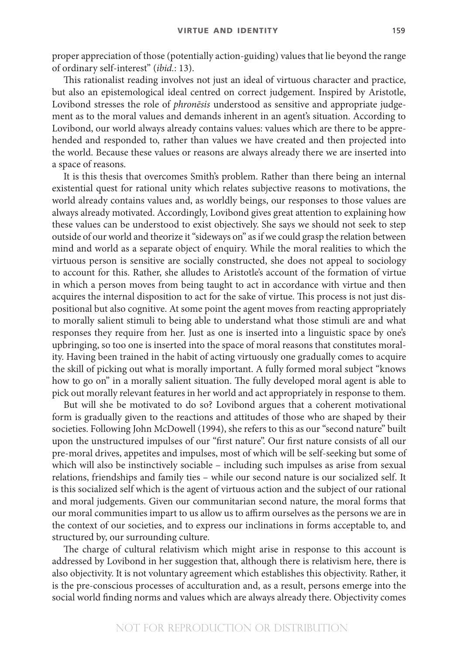proper appreciation of those (potentially action- guiding) values that lie beyond the range of ordinary self- interest" (*ibid.*: 13).

This rationalist reading involves not just an ideal of virtuous character and practice, but also an epistemological ideal centred on correct judgement. Inspired by Aristotle, Lovibond stresses the role of *phronēsis* understood as sensitive and appropriate judgement as to the moral values and demands inherent in an agent's situation. According to Lovibond, our world always already contains values: values which are there to be apprehended and responded to, rather than values we have created and then projected into the world. Because these values or reasons are always already there we are inserted into a space of reasons.

It is this thesis that overcomes Smith's problem. Rather than there being an internal existential quest for rational unity which relates subjective reasons to motivations, the world already contains values and, as worldly beings, our responses to those values are always already motivated. Accordingly, Lovibond gives great attention to explaining how these values can be understood to exist objectively. She says we should not seek to step outside of our world and theorize it "sideways on" as if we could grasp the relation between mind and world as a separate object of enquiry. While the moral realities to which the virtuous person is sensitive are socially constructed, she does not appeal to sociology to account for this. Rather, she alludes to Aristotle's account of the formation of virtue in which a person moves from being taught to act in accordance with virtue and then acquires the internal disposition to act for the sake of virtue. This process is not just dispositional but also cognitive. At some point the agent moves from reacting appropriately to morally salient stimuli to being able to understand what those stimuli are and what responses they require from her. Just as one is inserted into a linguistic space by one's upbringing, so too one is inserted into the space of moral reasons that constitutes morality. Having been trained in the habit of acting virtuously one gradually comes to acquire the skill of picking out what is morally important. A fully formed moral subject "knows how to go on" in a morally salient situation. The fully developed moral agent is able to pick out morally relevant features in her world and act appropriately in response to them.

But will she be motivated to do so? Lovibond argues that a coherent motivational form is gradually given to the reactions and attitudes of those who are shaped by their societies. Following John McDowell (1994), she refers to this as our "second nature" built upon the unstructured impulses of our "first nature". Our first nature consists of all our pre- moral drives, appetites and impulses, most of which will be self- seeking but some of which will also be instinctively sociable – including such impulses as arise from sexual relations, friendships and family ties – while our second nature is our socialized self. It is this socialized self which is the agent of virtuous action and the subject of our rational and moral judgements. Given our communitarian second nature, the moral forms that our moral communities impart to us allow us to affirm ourselves as the persons we are in the context of our societies, and to express our inclinations in forms acceptable to, and structured by, our surrounding culture.

The charge of cultural relativism which might arise in response to this account is addressed by Lovibond in her suggestion that, although there is relativism here, there is also objectivity. It is not voluntary agreement which establishes this objectivity. Rather, it is the pre- conscious processes of acculturation and, as a result, persons emerge into the social world finding norms and values which are always already there. Objectivity comes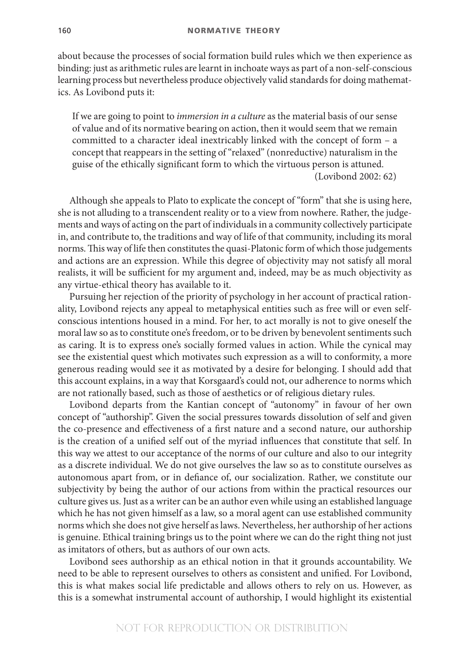about because the processes of social formation build rules which we then experience as binding: just as arithmetic rules are learnt in inchoate ways as part of a non- self- conscious learning process but nevertheless produce objectively valid standards for doing mathematics. As Lovibond puts it:

If we are going to point to *immersion in a culture* as the material basis of our sense of value and of its normative bearing on action, then it would seem that we remain committed to a character ideal inextricably linked with the concept of form – a concept that reappears in the setting of "relaxed" (nonreductive) naturalism in the guise of the ethically significant form to which the virtuous person is attuned. (Lovibond 2002: 62)

Although she appeals to Plato to explicate the concept of "form" that she is using here, she is not alluding to a transcendent reality or to a view from nowhere. Rather, the judgements and ways of acting on the part of individuals in a community collectively participate in, and contribute to, the traditions and way of life of that community, including its moral norms. This way of life then constitutes the quasi-Platonic form of which those judgements and actions are an expression. While this degree of objectivity may not satisfy all moral realists, it will be sufficient for my argument and, indeed, may be as much objectivity as any virtue-ethical theory has available to it.

Pursuing her rejection of the priority of psychology in her account of practical rationality, Lovibond rejects any appeal to metaphysical entities such as free will or even selfconscious intentions housed in a mind. For her, to act morally is not to give oneself the moral law so as to constitute one's freedom, or to be driven by benevolent sentiments such as caring. It is to express one's socially formed values in action. While the cynical may see the existential quest which motivates such expression as a will to conformity, a more generous reading would see it as motivated by a desire for belonging. I should add that this account explains, in a way that Korsgaard's could not, our adherence to norms which are not rationally based, such as those of aesthetics or of religious dietary rules.

Lovibond departs from the Kantian concept of "autonomy" in favour of her own concept of "authorship". Given the social pressures towards dissolution of self and given the co-presence and effectiveness of a first nature and a second nature, our authorship is the creation of a unified self out of the myriad influences that constitute that self. In this way we attest to our acceptance of the norms of our culture and also to our integrity as a discrete individual. We do not give ourselves the law so as to constitute ourselves as autonomous apart from, or in defiance of, our socialization. Rather, we constitute our subjectivity by being the author of our actions from within the practical resources our culture gives us. Just as a writer can be an author even while using an established language which he has not given himself as a law, so a moral agent can use established community norms which she does not give herself as laws. Nevertheless, her authorship of her actions is genuine. Ethical training brings us to the point where we can do the right thing not just as imitators of others, but as authors of our own acts.

Lovibond sees authorship as an ethical notion in that it grounds accountability. We need to be able to represent ourselves to others as consistent and unified. For Lovibond, this is what makes social life predictable and allows others to rely on us. However, as this is a somewhat instrumental account of authorship, I would highlight its existential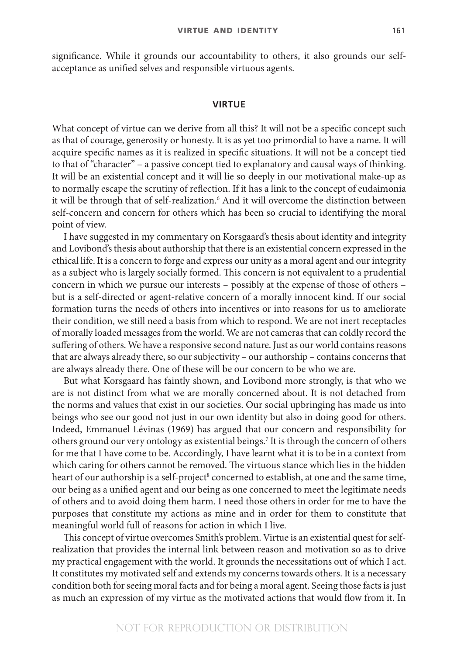significance. While it grounds our accountability to others, it also grounds our selfacceptance as unified selves and responsible virtuous agents.

#### **VIRTUE**

What concept of virtue can we derive from all this? It will not be a specific concept such as that of courage, generosity or honesty. It is as yet too primordial to have a name. It will acquire specific names as it is realized in specific situations. It will not be a concept tied to that of "character" – a passive concept tied to explanatory and causal ways of thinking. It will be an existential concept and it will lie so deeply in our motivational make- up as to normally escape the scrutiny of reflection. If it has a link to the concept of eudaimonia it will be through that of self-realization.<sup>6</sup> And it will overcome the distinction between self- concern and concern for others which has been so crucial to identifying the moral point of view.

I have suggested in my commentary on Korsgaard's thesis about identity and integrity and Lovibond's thesis about authorship that there is an existential concern expressed in the ethical life. It is a concern to forge and express our unity as a moral agent and our integrity as a subject who is largely socially formed. This concern is not equivalent to a prudential concern in which we pursue our interests – possibly at the expense of those of others – but is a self- directed or agent- relative concern of a morally innocent kind. If our social formation turns the needs of others into incentives or into reasons for us to ameliorate their condition, we still need a basis from which to respond. We are not inert receptacles of morally loaded messages from the world. We are not cameras that can coldly record the suffering of others. We have a responsive second nature. Just as our world contains reasons that are always already there, so our subjectivity – our authorship – contains concerns that are always already there. One of these will be our concern to be who we are.

But what Korsgaard has faintly shown, and Lovibond more strongly, is that who we are is not distinct from what we are morally concerned about. It is not detached from the norms and values that exist in our societies. Our social upbringing has made us into beings who see our good not just in our own identity but also in doing good for others. Indeed, Emmanuel Lévinas (1969) has argued that our concern and responsibility for others ground our very ontology as existential beings.7 It is through the concern of others for me that I have come to be. Accordingly, I have learnt what it is to be in a context from which caring for others cannot be removed. The virtuous stance which lies in the hidden heart of our authorship is a self-project<sup>8</sup> concerned to establish, at one and the same time, our being as a unified agent and our being as one concerned to meet the legitimate needs of others and to avoid doing them harm. I need those others in order for me to have the purposes that constitute my actions as mine and in order for them to constitute that meaningful world full of reasons for action in which I live.

This concept of virtue overcomes Smith's problem. Virtue is an existential quest for selfrealization that provides the internal link between reason and motivation so as to drive my practical engagement with the world. It grounds the necessitations out of which I act. It constitutes my motivated self and extends my concerns towards others. It is a necessary condition both for seeing moral facts and for being a moral agent. Seeing those facts is just as much an expression of my virtue as the motivated actions that would flow from it. In